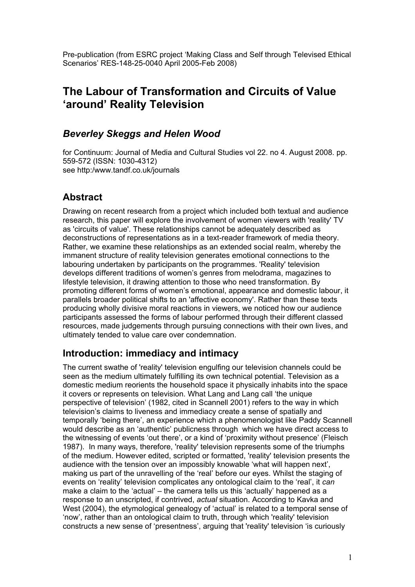Pre-publication (from ESRC project 'Making Class and Self through Televised Ethical Scenarios' RES-148-25-0040 April 2005-Feb 2008)

# **The Labour of Transformation and Circuits of Value 'around' Reality Television**

#### *Beverley Skeggs and Helen Wood*

for Continuum: Journal of Media and Cultural Studies vol 22. no 4. August 2008. pp. 559-572 (ISSN: 1030-4312) see http:/www.tandf.co.uk/journals

### **Abstract**

Drawing on recent research from a project which included both textual and audience research, this paper will explore the involvement of women viewers with 'reality' TV as 'circuits of value'. These relationships cannot be adequately described as deconstructions of representations as in a text-reader framework of media theory. Rather, we examine these relationships as an extended social realm, whereby the immanent structure of reality television generates emotional connections to the labouring undertaken by participants on the programmes. 'Reality' television develops different traditions of women's genres from melodrama, magazines to lifestyle television, it drawing attention to those who need transformation. By promoting different forms of women's emotional, appearance and domestic labour, it parallels broader political shifts to an 'affective economy'. Rather than these texts producing wholly divisive moral reactions in viewers, we noticed how our audience participants assessed the forms of labour performed through their different classed resources, made judgements through pursuing connections with their own lives, and ultimately tended to value care over condemnation.

### **Introduction: immediacy and intimacy**

The current swathe of 'reality' television engulfing our television channels could be seen as the medium ultimately fulfilling its own technical potential. Television as a domestic medium reorients the household space it physically inhabits into the space it covers or represents on television. What Lang and Lang call 'the unique perspective of television' (1982, cited in Scannell 2001) refers to the way in which television's claims to liveness and immediacy create a sense of spatially and temporally 'being there', an experience which a phenomenologist like Paddy Scannell would describe as an 'authentic' publicness through which we have direct access to the witnessing of events 'out there', or a kind of 'proximity without presence' (Fleisch 1987). In many ways, therefore, 'reality' television represents some of the triumphs of the medium. However edited, scripted or formatted, 'reality' television presents the audience with the tension over an impossibly knowable 'what will happen next', making us part of the unravelling of the 'real' before our eyes. Whilst the staging of events on 'reality' television complicates any ontological claim to the 'real', it *can* make a claim to the 'actual' – the camera tells us this 'actually' happened as a response to an unscripted, if contrived, *actual* situation. According to Kavka and West (2004), the etymological genealogy of 'actual' is related to a temporal sense of 'now', rather than an ontological claim to truth, through which 'reality' television constructs a new sense of 'presentness', arguing that 'reality' television 'is curiously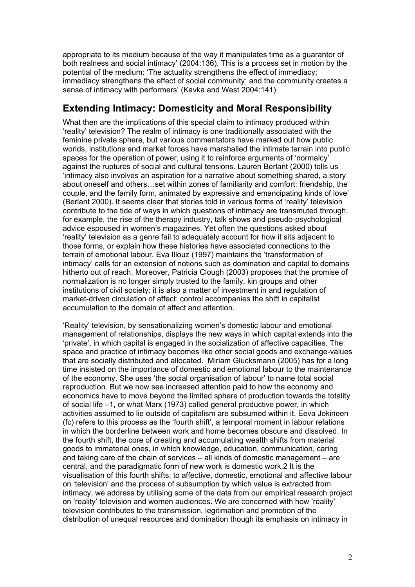appropriate to its medium because of the way it manipulates time as a guarantor of both realness and social intimacy' (2004:136). This is a process set in motion by the potential of the medium: 'The actuality strengthens the effect of immediacy; immediacy strengthens the effect of social community; and the community creates a sense of intimacy with performers' (Kavka and West 2004:141).

### **Extending Intimacy: Domesticity and Moral Responsibility**

What then are the implications of this special claim to intimacy produced within 'reality' television? The realm of intimacy is one traditionally associated with the feminine private sphere, but various commentators have marked out how public worlds, institutions and market forces have marshalled the intimate terrain into public spaces for the operation of power, using it to reinforce arguments of 'normalcy' against the ruptures of social and cultural tensions. Lauren Berlant (2000) tells us 'intimacy also involves an aspiration for a narrative about something shared, a story about oneself and others…set within zones of familiarity and comfort: friendship, the couple, and the family form, animated by expressive and emancipating kinds of love' (Berlant 2000). It seems clear that stories told in various forms of 'reality' television contribute to the tide of ways in which questions of intimacy are transmuted through, for example, the rise of the therapy industry, talk shows and pseudo-psychological advice espoused in women's magazines. Yet often the questions asked about 'reality' television as a genre fail to adequately account for how it sits adjacent to those forms, or explain how these histories have associated connections to the terrain of emotional labour. Eva Illouz (1997) maintains the 'transformation of intimacy' calls for an extension of notions such as domination and capital to domains hitherto out of reach. Moreover, Patricia Clough (2003) proposes that the promise of normalization is no longer simply trusted to the family, kin groups and other institutions of civil society: it is also a matter of investment in and regulation of market-driven circulation of affect: control accompanies the shift in capitalist accumulation to the domain of affect and attention.

'Reality' television, by sensationalizing women's domestic labour and emotional management of relationships, displays the new ways in which capital extends into the 'private', in which capital is engaged in the socialization of affective capacities. The space and practice of intimacy becomes like other social goods and exchange-values that are socially distributed and allocated. Miriam Glucksmann (2005) has for a long time insisted on the importance of domestic and emotional labour to the maintenance of the economy. She uses 'the social organisation of labour' to name total social reproduction. But we now see increased attention paid to how the economy and economics have to move beyond the limited sphere of production towards the totality of social life –[1,](#page-16-0) or what Marx (1973) called general productive power, in which activities assumed to lie outside of capitalism are subsumed within it. Eeva Jokineen (fc) refers to this process as the 'fourth shift', a temporal moment in labour relations in which the borderline between work and home becomes obscure and dissolved. In the fourth shift, the core of creating and accumulating wealth shifts from material goods to immaterial ones, in which knowledge, education, communication, caring and taking care of the chain of services – all kinds of domestic management – are central, and the paradigmatic form of new work is domestic work.[2](#page-16-1) It is the visualisation of this fourth shifts, to affective, domestic, emotional and affective labour on 'television' and the process of subsumption by which value is extracted from intimacy, we address by utilising some of the data from our empirical research project on 'reality' television and women audiences. We are concerned with how 'reality' television contributes to the transmission, legitimation and promotion of the distribution of unequal resources and domination though its emphasis on intimacy in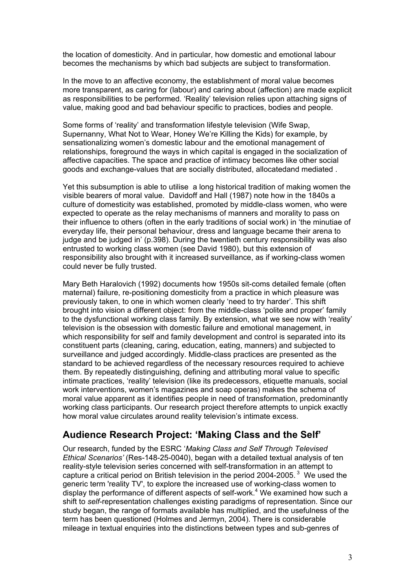the location of domesticity. And in particular, how domestic and emotional labour becomes the mechanisms by which bad subjects are subject to transformation.

In the move to an affective economy, the establishment of moral value becomes more transparent, as caring for (labour) and caring about (affection) are made explicit as responsibilities to be performed. 'Reality' television relies upon attaching signs of value, making good and bad behaviour specific to practices, bodies and people.

Some forms of 'reality' and transformation lifestyle television (Wife Swap, Supernanny, What Not to Wear, Honey We're Killing the Kids) for example, by sensationalizing women's domestic labour and the emotional management of relationships, foreground the ways in which capital is engaged in the socialization of affective capacities. The space and practice of intimacy becomes like other social goods and exchange-values that are socially distributed, allocatedand mediated .

Yet this subsumption is able to utilise a long historical tradition of making women the visible bearers of moral value. Davidoff and Hall (1987) note how in the 1840s a culture of domesticity was established, promoted by middle-class women, who were expected to operate as the relay mechanisms of manners and morality to pass on their influence to others (often in the early traditions of social work) in 'the minutiae of everyday life, their personal behaviour, dress and language became their arena to judge and be judged in' (p.398). During the twentieth century responsibility was also entrusted to working class women (see David 1980), but this extension of responsibility also brought with it increased surveillance, as if working-class women could never be fully trusted.

Mary Beth Haralovich (1992) documents how 1950s sit-coms detailed female (often maternal) failure, re-positioning domesticity from a practice in which pleasure was previously taken, to one in which women clearly 'need to try harder'. This shift brought into vision a different object: from the middle-class 'polite and proper' family to the dysfunctional working class family. By extension, what we see now with 'reality' television is the obsession with domestic failure and emotional management, in which responsibility for self and family development and control is separated into its constituent parts (cleaning, caring, education, eating, manners) and subjected to surveillance and judged accordingly. Middle-class practices are presented as the standard to be achieved regardless of the necessary resources required to achieve them. By repeatedly distinguishing, defining and attributing moral value to specific intimate practices, 'reality' television (like its predecessors, etiquette manuals, social work interventions, women's magazines and soap operas) makes the schema of moral value apparent as it identifies people in need of transformation, predominantly working class participants. Our research project therefore attempts to unpick exactly how moral value circulates around reality television's intimate excess.

### **Audience Research Project: 'Making Class and the Self'**

Our research, funded by the ESRC '*Making Class and Self Through Televised Ethical Scenarios'* (Res-148-25-0040), began with a detailed textual analysis of ten reality-style television series concerned with self-transformation in an attempt to capture a critical period on British television in the period 2004-2005. [3](#page-16-2) We used the generic term 'reality TV', to explore the increased use of working-class women to display the performance of different aspects of self-work.<sup>[4](#page-16-3)</sup> We examined how such a shift to *self*-representation challenges existing paradigms of representation. Since our study began, the range of formats available has multiplied, and the usefulness of the term has been questioned (Holmes and Jermyn, 2004). There is considerable mileage in textual enquiries into the distinctions between types and sub-genres of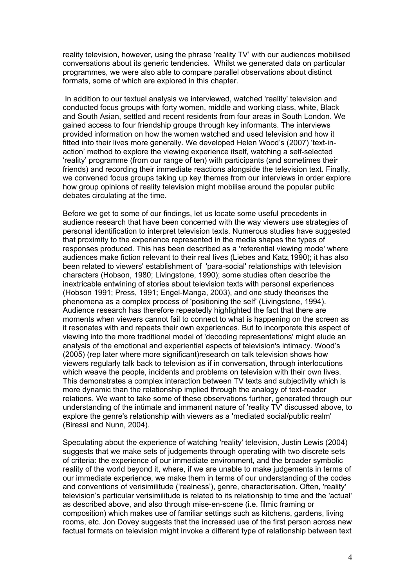reality television, however, using the phrase 'reality TV' with our audiences mobilised conversations about its generic tendencies. Whilst we generated data on particular programmes, we were also able to compare parallel observations about distinct formats, some of which are explored in this chapter.

 In addition to our textual analysis we interviewed, watched 'reality' television and conducted focus groups with forty women, middle and working class, white, Black and South Asian, settled and recent residents from four areas in South London. We gained access to four friendship groups through key informants. The interviews provided information on how the women watched and used television and how it fitted into their lives more generally. We developed Helen Wood's (2007) 'text-inaction' method to explore the viewing experience itself, watching a self-selected 'reality' programme (from our range of ten) with participants (and sometimes their friends) and recording their immediate reactions alongside the television text. Finally, we convened focus groups taking up key themes from our interviews in order explore how group opinions of reality television might mobilise around the popular public debates circulating at the time.

Before we get to some of our findings, let us locate some useful precedents in audience research that have been concerned with the way viewers use strategies of personal identification to interpret television texts. Numerous studies have suggested that proximity to the experience represented in the media shapes the types of responses produced. This has been described as a 'referential viewing mode' where audiences make fiction relevant to their real lives (Liebes and Katz,1990); it has also been related to viewers' establishment of 'para-social' relationships with television characters (Hobson, 1980; Livingstone, 1990); some studies often describe the inextricable entwining of stories about television texts with personal experiences (Hobson 1991; Press, 1991; Engel-Manga, 2003), and one study theorises the phenomena as a complex process of 'positioning the self' (Livingstone, 1994). Audience research has therefore repeatedly highlighted the fact that there are moments when viewers cannot fail to connect to what is happening on the screen as it resonates with and repeats their own experiences. But to incorporate this aspect of viewing into the more traditional model of 'decoding representations' might elude an analysis of the emotional and experiential aspects of television's intimacy. Wood's (2005) (rep later where more significant)research on talk television shows how viewers regularly talk back to television as if in conversation, through interlocutions which weave the people, incidents and problems on television with their own lives. This demonstrates a complex interaction between TV texts and subjectivity which is more dynamic than the relationship implied through the analogy of text-reader relations. We want to take some of these observations further, generated through our understanding of the intimate and immanent nature of 'reality TV' discussed above, to explore the genre's relationship with viewers as a 'mediated social/public realm' (Biressi and Nunn, 2004).

Speculating about the experience of watching 'reality' television, Justin Lewis (2004) suggests that we make sets of judgements through operating with two discrete sets of criteria: the experience of our immediate environment, and the broader symbolic reality of the world beyond it, where, if we are unable to make judgements in terms of our immediate experience, we make them in terms of our understanding of the codes and conventions of verisimilitude ('realness'), genre, characterisation. Often, 'reality' television's particular verisimilitude is related to its relationship to time and the 'actual' as described above, and also through mise-en-scene (i.e. filmic framing or composition) which makes use of familiar settings such as kitchens, gardens, living rooms, etc. Jon Dovey suggests that the increased use of the first person across new factual formats on television might invoke a different type of relationship between text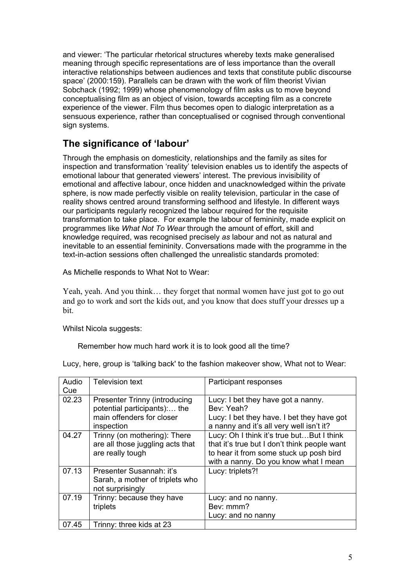and viewer: 'The particular rhetorical structures whereby texts make generalised meaning through specific representations are of less importance than the overall interactive relationships between audiences and texts that constitute public discourse space' (2000:159). Parallels can be drawn with the work of film theorist Vivian Sobchack (1992; 1999) whose phenomenology of film asks us to move beyond conceptualising film as an object of vision, towards accepting film as a concrete experience of the viewer. Film thus becomes open to dialogic interpretation as a sensuous experience, rather than conceptualised or cognised through conventional sign systems.

## **The significance of 'labour'**

Through the emphasis on domesticity, relationships and the family as sites for inspection and transformation 'reality' television enables us to identify the aspects of emotional labour that generated viewers' interest. The previous invisibility of emotional and affective labour, once hidden and unacknowledged within the private sphere, is now made perfectly visible on reality television, particular in the case of reality shows centred around transforming selfhood and lifestyle. In different ways our participants regularly recognized the labour required for the requisite transformation to take place. For example the labour of femininity, made explicit on programmes like *What Not To Wear* through the amount of effort, skill and knowledge required, was recognised precisely *as* labour and not as natural and inevitable to an essential femininity. Conversations made with the programme in the text-in-action sessions often challenged the unrealistic standards promoted:

As Michelle responds to What Not to Wear:

Yeah, yeah. And you think… they forget that normal women have just got to go out and go to work and sort the kids out, and you know that does stuff your dresses up a bit.

Whilst Nicola suggests:

Remember how much hard work it is to look good all the time?

Lucy, here, group is 'talking back' to the fashion makeover show, What not to Wear:

| Audio<br>Cue | <b>Television text</b>                                                                                          | Participant responses                                                                                                                                                         |
|--------------|-----------------------------------------------------------------------------------------------------------------|-------------------------------------------------------------------------------------------------------------------------------------------------------------------------------|
| 02.23        | <b>Presenter Trinny (introducing</b><br>potential participants): the<br>main offenders for closer<br>inspection | Lucy: I bet they have got a nanny.<br>Bev: Yeah?<br>Lucy: I bet they have. I bet they have got<br>a nanny and it's all very well isn't it?                                    |
| 04.27        | Trinny (on mothering): There<br>are all those juggling acts that<br>are really tough                            | Lucy: Oh I think it's true butBut I think<br>that it's true but I don't think people want<br>to hear it from some stuck up posh bird<br>with a nanny. Do you know what I mean |
| 07.13        | Presenter Susannah: it's<br>Sarah, a mother of triplets who<br>not surprisingly                                 | Lucy: triplets?!                                                                                                                                                              |
| 07.19        | Trinny: because they have<br>triplets                                                                           | Lucy: and no nanny.<br>Bev: mmm?<br>Lucy: and no nanny                                                                                                                        |
| 07.45        | Trinny: three kids at 23                                                                                        |                                                                                                                                                                               |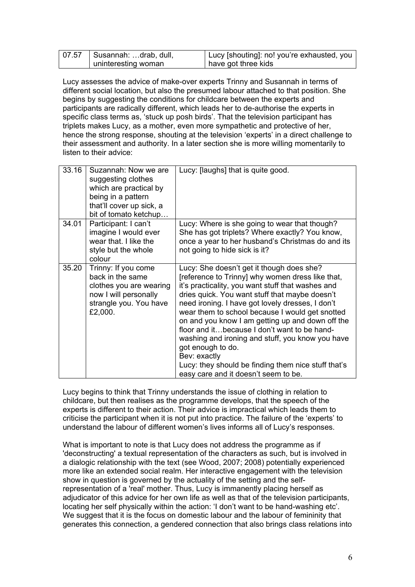| $07.57$ Susannah: drab, dull, | Lucy [shouting]: no! you're exhausted, you |
|-------------------------------|--------------------------------------------|
| uninteresting woman           | have got three kids                        |

Lucy assesses the advice of make-over experts Trinny and Susannah in terms of different social location, but also the presumed labour attached to that position. She begins by suggesting the conditions for childcare between the experts and participants are radically different, which leads her to de-authorise the experts in specific class terms as, 'stuck up posh birds'. That the television participant has triplets makes Lucy, as a mother, even more sympathetic and protective of her, hence the strong response, shouting at the television 'experts' in a direct challenge to their assessment and authority. In a later section she is more willing momentarily to listen to their advice:

| 33.16 | Suzannah: Now we are<br>suggesting clothes<br>which are practical by<br>being in a pattern<br>that'll cover up sick, a<br>bit of tomato ketchup | Lucy: [laughs] that is quite good.                                                                                                                                                                                                                                                                                                                                                                                                                                                                                                                                                                      |
|-------|-------------------------------------------------------------------------------------------------------------------------------------------------|---------------------------------------------------------------------------------------------------------------------------------------------------------------------------------------------------------------------------------------------------------------------------------------------------------------------------------------------------------------------------------------------------------------------------------------------------------------------------------------------------------------------------------------------------------------------------------------------------------|
| 34.01 | Participant: I can't<br>imagine I would ever<br>wear that. I like the<br>style but the whole<br>colour                                          | Lucy: Where is she going to wear that though?<br>She has got triplets? Where exactly? You know,<br>once a year to her husband's Christmas do and its<br>not going to hide sick is it?                                                                                                                                                                                                                                                                                                                                                                                                                   |
| 35.20 | Trinny: If you come<br>back in the same<br>clothes you are wearing<br>now I will personally<br>strangle you. You have<br>£2,000.                | Lucy: She doesn't get it though does she?<br>[reference to Trinny] why women dress like that,<br>it's practicality, you want stuff that washes and<br>dries quick. You want stuff that maybe doesn't<br>need ironing. I have got lovely dresses, I don't<br>wear them to school because I would get snotted<br>on and you know I am getting up and down off the<br>floor and itbecause I don't want to be hand-<br>washing and ironing and stuff, you know you have<br>got enough to do.<br>Bev: exactly<br>Lucy: they should be finding them nice stuff that's<br>easy care and it doesn't seem to be. |

Lucy begins to think that Trinny understands the issue of clothing in relation to childcare, but then realises as the programme develops, that the speech of the experts is different to their action. Their advice is impractical which leads them to criticise the participant when it is not put into practice. The failure of the 'experts' to understand the labour of different women's lives informs all of Lucy's responses.

What is important to note is that Lucy does not address the programme as if 'deconstructing' a textual representation of the characters as such, but is involved in a dialogic relationship with the text (see Wood, 2007; 2008) potentially experienced more like an extended social realm. Her interactive engagement with the television show in question is governed by the actuality of the setting and the selfrepresentation of a 'real' mother. Thus, Lucy is immanently placing herself as adjudicator of this advice for her own life as well as that of the television participants, locating her self physically within the action: 'I don't want to be hand-washing etc'. We suggest that it is the focus on domestic labour and the labour of femininity that generates this connection, a gendered connection that also brings class relations into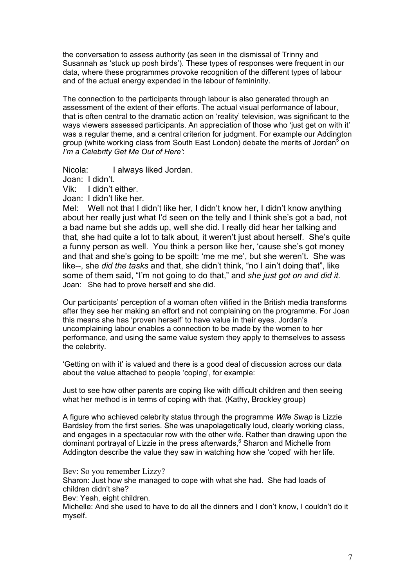the conversation to assess authority (as seen in the dismissal of Trinny and Susannah as 'stuck up posh birds'). These types of responses were frequent in our data, where these programmes provoke recognition of the different types of labour and of the actual energy expended in the labour of femininity.

The connection to the participants through labour is also generated through an assessment of the extent of their efforts. The actual visual performance of labour, that is often central to the dramatic action on 'reality' television, was significant to the ways viewers assessed participants. An appreciation of those who 'just get on with it' was a regular theme, and a central criterion for judgment. For example our Addington group (white working class from South East London) debate the merits of Jordan<sup>[5](#page-16-4)</sup> on *I'm a Celebrity Get Me Out of Here'*:

Nicola: I always liked Jordan.

Joan: I didn't.

Vik: I didn't either.

Joan: I didn't like her.

Mel: Well not that I didn't like her, I didn't know her, I didn't know anything about her really just what I'd seen on the telly and I think she's got a bad, not a bad name but she adds up, well she did. I really did hear her talking and that, she had quite a lot to talk about, it weren't just about herself. She's quite a funny person as well. You think a person like her, 'cause she's got money and that and she's going to be spoilt: 'me me me', but she weren't. She was like--, she *did the tasks* and that, she didn't think, "no I ain't doing that", like some of them said, "I'm not going to do that," and *she just got on and did it.* Joan: She had to prove herself and she did.

Our participants' perception of a woman often vilified in the British media transforms after they see her making an effort and not complaining on the programme. For Joan this means she has 'proven herself' to have value in their eyes. Jordan's uncomplaining labour enables a connection to be made by the women to her performance, and using the same value system they apply to themselves to assess the celebrity.

'Getting on with it' is valued and there is a good deal of discussion across our data about the value attached to people 'coping', for example:

Just to see how other parents are coping like with difficult children and then seeing what her method is in terms of coping with that. (Kathy, Brockley group)

A figure who achieved celebrity status through the programme *Wife Swap* is Lizzie Bardsley from the first series. She was unapolagetically loud, clearly working class, and engages in a spectacular row with the other wife. Rather than drawing upon the dominant portrayal of Lizzie in the press afterwards, $6$  Sharon and Michelle from Addington describe the value they saw in watching how she 'coped' with her life.

Bev: So you remember Lizzy?

Sharon: Just how she managed to cope with what she had. She had loads of children didn't she?

Bev: Yeah, eight children.

Michelle: And she used to have to do all the dinners and I don't know, I couldn't do it myself.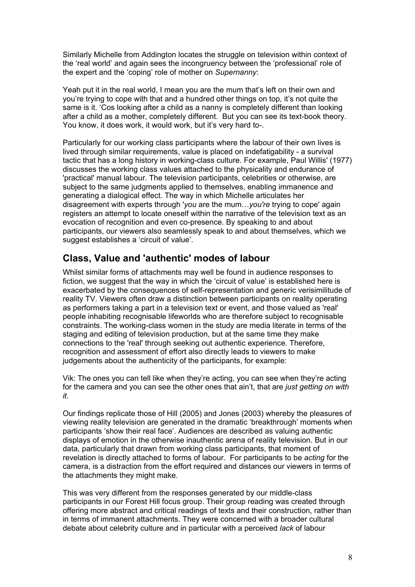Similarly Michelle from Addington locates the struggle on television within context of the 'real world' and again sees the incongruency between the 'professional' role of the expert and the 'coping' role of mother on *Supernanny*:

Yeah put it in the real world, I mean you are the mum that's left on their own and you're trying to cope with that and a hundred other things on top, it's not quite the same is it. 'Cos looking after a child as a nanny is completely different than looking after a child as a mother, completely different. But you can see its text-book theory. You know, it does work, it would work, but it's very hard to-.

Particularly for our working class participants where the labour of their own lives is lived through similar requirements, value is placed on indefatigability - a survival tactic that has a long history in working-class culture. For example, Paul Willis' (1977) discusses the working class values attached to the physicality and endurance of 'practical' manual labour. The television participants, celebrities or otherwise, are subject to the same judgments applied to themselves, enabling immanence and generating a dialogical effect. The way in which Michelle articulates her disagreement with experts through '*you* are the mum…*you're* trying to cope' again registers an attempt to locate oneself within the narrative of the television text as an evocation of recognition and even co-presence. By speaking to and about participants, our viewers also seamlessly speak to and about themselves, which we suggest establishes a 'circuit of value'.

## **Class, Value and 'authentic' modes of labour**

Whilst similar forms of attachments may well be found in audience responses to fiction, we suggest that the way in which the 'circuit of value' is established here is exacerbated by the consequences of self-representation and generic verisimilitude of reality TV. Viewers often draw a distinction between participants on reality operating as performers taking a part in a television text or event, and those valued as 'real' people inhabiting recognisable lifeworlds who are therefore subject to recognisable constraints. The working-class women in the study are media literate in terms of the staging and editing of television production, but at the same time they make connections to the 'real' through seeking out authentic experience. Therefore, recognition and assessment of effort also directly leads to viewers to make judgements about the authenticity of the participants, for example:

Vik: The ones you can tell like when they're acting, you can see when they're acting for the camera and you can see the other ones that ain't, that are *just getting on with it*.

Our findings replicate those of Hill (2005) and Jones (2003) whereby the pleasures of viewing reality television are generated in the dramatic 'breakthrough' moments when participants 'show their real face'. Audiences are described as valuing authentic displays of emotion in the otherwise inauthentic arena of reality television. But in our data, particularly that drawn from working class participants, that moment of revelation is directly attached to forms of labour. For participants to be *acting* for the camera, is a distraction from the effort required and distances our viewers in terms of the attachments they might make.

This was very different from the responses generated by our middle-class participants in our Forest Hill focus group. Their group reading was created through offering more abstract and critical readings of texts and their construction, rather than in terms of immanent attachments. They were concerned with a broader cultural debate about celebrity culture and in particular with a perceived *lack* of labour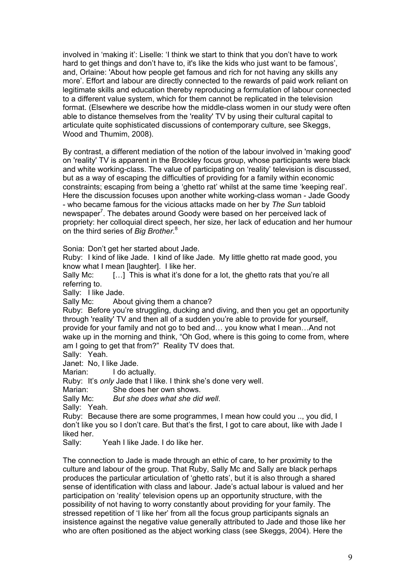involved in 'making it': Liselle: 'I think we start to think that you don't have to work hard to get things and don't have to, it's like the kids who just want to be famous', and, Orlaine: 'About how people get famous and rich for not having any skills any more'. Effort and labour are directly connected to the rewards of paid work reliant on legitimate skills and education thereby reproducing a formulation of labour connected to a different value system, which for them cannot be replicated in the television format. (Elsewhere we describe how the middle-class women in our study were often able to distance themselves from the 'reality' TV by using their cultural capital to articulate quite sophisticated discussions of contemporary culture, see Skeggs, Wood and Thumim, 2008).

By contrast, a different mediation of the notion of the labour involved in 'making good' on 'reality' TV is apparent in the Brockley focus group, whose participants were black and white working-class. The value of participating on 'reality' television is discussed, but as a way of escaping the difficulties of providing for a family within economic constraints; escaping from being a 'ghetto rat' whilst at the same time 'keeping real'. Here the discussion focuses upon another white working-class woman - Jade Goody - who became famous for the vicious attacks made on her by *The Sun* tabloid newspaper<sup>[7](#page-16-6)</sup>. The debates around Goody were based on her perceived lack of propriety: her colloquial direct speech, her size, her lack of education and her humour on the third series of *Big Brother.*[8](#page-16-7)

Sonia: Don't get her started about Jade.

Ruby: I kind of like Jade. I kind of like Jade. My little ghetto rat made good, you know what I mean [laughter]. I like her.

Sally Mc: [...] This is what it's done for a lot, the ghetto rats that you're all referring to.

Sally: I like Jade.

Sally Mc: About giving them a chance?

Ruby: Before you're struggling, ducking and diving, and then you get an opportunity through 'reality' TV and then all of a sudden you're able to provide for yourself, provide for your family and not go to bed and… you know what I mean…And not wake up in the morning and think, "Oh God, where is this going to come from, where am I going to get that from?" Reality TV does that.

Sally: Yeah.

Janet: No, I like Jade.

Marian: I do actually.

Ruby: It's *only* Jade that I like. I think she's done very well.

Marian: She does her own shows.

Sally Mc: *But she does what she did well*.

Sally: Yeah.

Ruby: Because there are some programmes, I mean how could you .., you did, I don't like you so I don't care. But that's the first, I got to care about, like with Jade I liked her.

Sally: Yeah I like Jade. I do like her.

The connection to Jade is made through an ethic of care, to her proximity to the culture and labour of the group. That Ruby, Sally Mc and Sally are black perhaps produces the particular articulation of 'ghetto rats', but it is also through a shared sense of identification with class and labour. Jade's actual labour is valued and her participation on 'reality' television opens up an opportunity structure, with the possibility of not having to worry constantly about providing for your family. The stressed repetition of 'I like her' from all the focus group participants signals an insistence against the negative value generally attributed to Jade and those like her who are often positioned as the abject working class (see Skeggs, 2004). Here the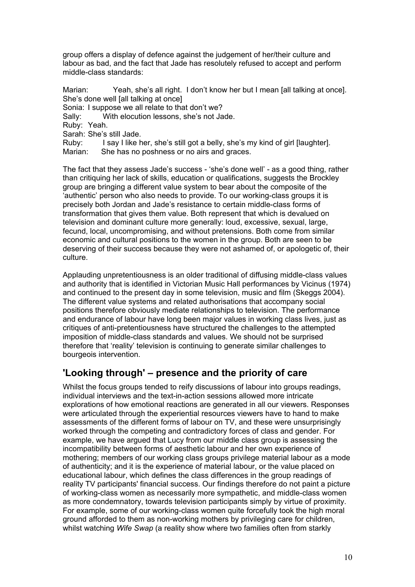group offers a display of defence against the judgement of her/their culture and labour as bad, and the fact that Jade has resolutely refused to accept and perform middle-class standards:

Marian: Yeah, she's all right. I don't know her but I mean [all talking at once]. She's done well [all talking at once]

Sonia: I suppose we all relate to that don't we?

Sally: With elocution lessons, she's not Jade.

Ruby: Yeah.

Sarah: She's still Jade.

Ruby: I say I like her, she's still got a belly, she's my kind of girl [laughter].

Marian: She has no poshness or no airs and graces.

The fact that they assess Jade's success - 'she's done well' - as a good thing, rather than critiquing her lack of skills, education or qualifications, suggests the Brockley group are bringing a different value system to bear about the composite of the 'authentic' person who also needs to provide. To our working-class groups it is precisely both Jordan and Jade's resistance to certain middle-class forms of transformation that gives them value. Both represent that which is devalued on television and dominant culture more generally: loud, excessive, sexual, large, fecund, local, uncompromising, and without pretensions. Both come from similar economic and cultural positions to the women in the group. Both are seen to be deserving of their success because they were not ashamed of, or apologetic of, their culture.

Applauding unpretentiousness is an older traditional of diffusing middle-class values and authority that is identified in Victorian Music Hall performances by Vicinus (1974) and continued to the present day in some television, music and film (Skeggs 2004). The different value systems and related authorisations that accompany social positions therefore obviously mediate relationships to television. The performance and endurance of labour have long been major values in working class lives, just as critiques of anti-pretentiousness have structured the challenges to the attempted imposition of middle-class standards and values. We should not be surprised therefore that 'reality' television is continuing to generate similar challenges to bourgeois intervention.

## **'Looking through' – presence and the priority of care**

Whilst the focus groups tended to reify discussions of labour into groups readings, individual interviews and the text-in-action sessions allowed more intricate explorations of how emotional reactions are generated in all our viewers. Responses were articulated through the experiential resources viewers have to hand to make assessments of the different forms of labour on TV, and these were unsurprisingly worked through the competing and contradictory forces of class and gender. For example, we have argued that Lucy from our middle class group is assessing the incompatibility between forms of aesthetic labour and her own experience of mothering; members of our working class groups privilege material labour as a mode of authenticity; and it is the experience of material labour, or the value placed on educational labour, which defines the class differences in the group readings of reality TV participants' financial success. Our findings therefore do not paint a picture of working-class women as necessarily more sympathetic, and middle-class women as more condemnatory, towards television participants simply by virtue of proximity. For example, some of our working-class women quite forcefully took the high moral ground afforded to them as non-working mothers by privileging care for children, whilst watching *Wife Swap* (a reality show where two families often from starkly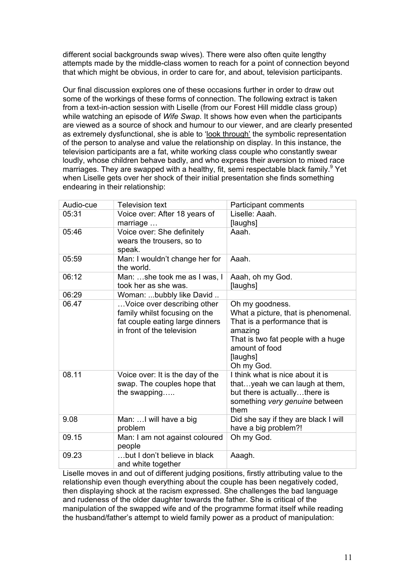different social backgrounds swap wives)*.* There were also often quite lengthy attempts made by the middle-class women to reach for a point of connection beyond that which might be obvious, in order to care for, and about, television participants.

Our final discussion explores one of these occasions further in order to draw out some of the workings of these forms of connection. The following extract is taken from a text-in-action session with Liselle (from our Forest Hill middle class group) while watching an episode of *Wife Swap*. It shows how even when the participants are viewed as a source of shock and humour to our viewer, and are clearly presented as extremely dysfunctional, she is able to 'look through' the symbolic representation of the person to analyse and value the relationship on display. In this instance, the television participants are a fat, white working class couple who constantly swear loudly, whose children behave badly, and who express their aversion to mixed race marriages. They are swapped with a healthy, fit, semi respectable black family.<sup>[9](#page-16-8)</sup> Yet when Liselle gets over her shock of their initial presentation she finds something endearing in their relationship:

| Audio-cue | <b>Television text</b>           | Participant comments                 |
|-----------|----------------------------------|--------------------------------------|
| 05:31     | Voice over: After 18 years of    | Liselle: Aaah.                       |
|           | marriage                         | [laughs]                             |
| 05:46     | Voice over: She definitely       | Aaah.                                |
|           | wears the trousers, so to        |                                      |
|           | speak.                           |                                      |
| 05:59     | Man: I wouldn't change her for   | Aaah.                                |
|           | the world.                       |                                      |
| 06:12     | Man: she took me as I was, I     | Aaah, oh my God.                     |
|           | took her as she was.             | [laughs]                             |
| 06:29     | Woman: bubbly like David         |                                      |
| 06.47     | Voice over describing other      | Oh my goodness.                      |
|           | family whilst focusing on the    | What a picture, that is phenomenal.  |
|           | fat couple eating large dinners  | That is a performance that is        |
|           | in front of the television       | amazing                              |
|           |                                  | That is two fat people with a huge   |
|           |                                  | amount of food                       |
|           |                                  | [laughs]                             |
|           |                                  | Oh my God.                           |
| 08.11     | Voice over: It is the day of the | I think what is nice about it is     |
|           | swap. The couples hope that      | thatyeah we can laugh at them,       |
|           | the swapping                     | but there is actuallythere is        |
|           |                                  | something very genuine between       |
|           |                                  | them                                 |
| 9.08      | Man:  I will have a big          | Did she say if they are black I will |
|           | problem                          | have a big problem?!                 |
| 09.15     | Man: I am not against coloured   | Oh my God.                           |
|           | people                           |                                      |
| 09.23     | but I don't believe in black     | Aaagh.                               |
|           | and white together               |                                      |

Liselle moves in and out of different judging positions, firstly attributing value to the relationship even though everything about the couple has been negatively coded, then displaying shock at the racism expressed. She challenges the bad language and rudeness of the older daughter towards the father. She is critical of the manipulation of the swapped wife and of the programme format itself while reading the husband/father's attempt to wield family power as a product of manipulation: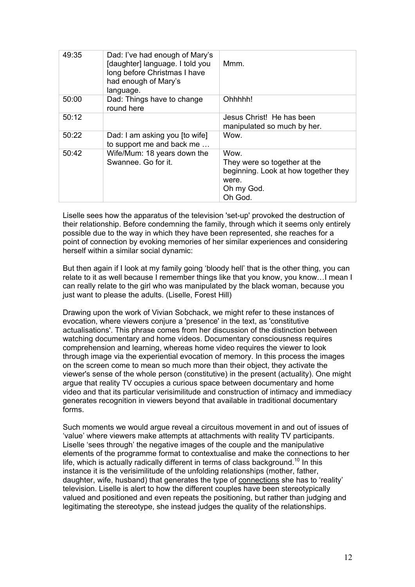| 49:35 | Dad: I've had enough of Mary's<br>[daughter] language. I told you<br>long before Christmas I have<br>had enough of Mary's<br>language. | Mmm.                                                                                                           |
|-------|----------------------------------------------------------------------------------------------------------------------------------------|----------------------------------------------------------------------------------------------------------------|
| 50:00 | Dad: Things have to change<br>round here                                                                                               | Ohhhhh!                                                                                                        |
| 50:12 |                                                                                                                                        | Jesus Christ! He has been<br>manipulated so much by her.                                                       |
| 50:22 | Dad: I am asking you [to wife]<br>to support me and back me                                                                            | Wow.                                                                                                           |
| 50:42 | Wife/Mum: 18 years down the<br>Swannee. Go for it.                                                                                     | Wow.<br>They were so together at the<br>beginning. Look at how together they<br>were.<br>Oh my God.<br>Oh God. |

Liselle sees how the apparatus of the television 'set-up' provoked the destruction of their relationship. Before condemning the family, through which it seems only entirely possible due to the way in which they have been represented, she reaches for a point of connection by evoking memories of her similar experiences and considering herself within a similar social dynamic:

But then again if I look at my family going 'bloody hell' that is the other thing, you can relate to it as well because I remember things like that you know, you know…I mean I can really relate to the girl who was manipulated by the black woman, because you just want to please the adults. (Liselle, Forest Hill)

Drawing upon the work of Vivian Sobchack, we might refer to these instances of evocation, where viewers conjure a 'presence' in the text, as 'constitutive actualisations'. This phrase comes from her discussion of the distinction between watching documentary and home videos. Documentary consciousness requires comprehension and learning, whereas home video requires the viewer to look through image via the experiential evocation of memory. In this process the images on the screen come to mean so much more than their object, they activate the viewer's sense of the whole person (constitutive) in the present (actuality). One might argue that reality TV occupies a curious space between documentary and home video and that its particular verisimilitude and construction of intimacy and immediacy generates recognition in viewers beyond that available in traditional documentary forms.

Such moments we would argue reveal a circuitous movement in and out of issues of 'value' where viewers make attempts at attachments with reality TV participants. Liselle 'sees through' the negative images of the couple and the manipulative elements of the programme format to contextualise and make the connections to her life, which is actually radically different in terms of class background.<sup>10</sup> In this instance it is the verisimilitude of the unfolding relationships (mother, father, daughter, wife, husband) that generates the type of connections she has to 'reality' television. Liselle is alert to how the different couples have been stereotypically valued and positioned and even repeats the positioning, but rather than judging and legitimating the stereotype, she instead judges the quality of the relationships.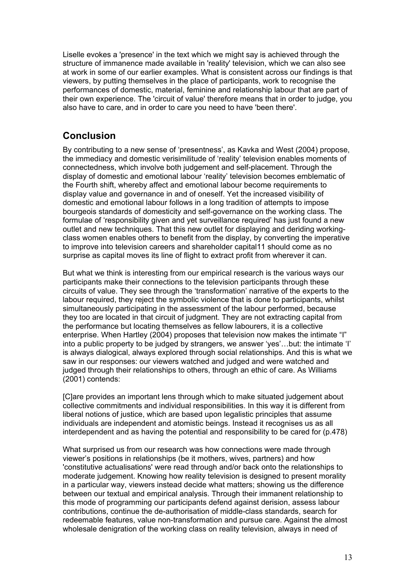Liselle evokes a 'presence' in the text which we might say is achieved through the structure of immanence made available in 'reality' television, which we can also see at work in some of our earlier examples. What is consistent across our findings is that viewers, by putting themselves in the place of participants, work to recognise the performances of domestic, material, feminine and relationship labour that are part of their own experience. The 'circuit of value' therefore means that in order to judge, you also have to care, and in order to care you need to have 'been there'.

## **Conclusion**

By contributing to a new sense of 'presentness', as Kavka and West (2004) propose, the immediacy and domestic verisimilitude of 'reality' television enables moments of connectedness, which involve both judgement and self-placement. Through the display of domestic and emotional labour 'reality' television becomes emblematic of the Fourth shift, whereby affect and emotional labour become requirements to display value and governance in and of oneself. Yet the increased visibility of domestic and emotional labour follows in a long tradition of attempts to impose bourgeois standards of domesticity and self-governance on the working class. The formulae of 'responsibility given and yet surveillance required' has just found a new outlet and new techniques. That this new outlet for displaying and deriding workingclass women enables others to benefit from the display, by converting the imperative to improve into television careers and shareholder capita[l11](#page-16-10) should come as no surprise as capital moves its line of flight to extract profit from wherever it can.

But what we think is interesting from our empirical research is the various ways our participants make their connections to the television participants through these circuits of value. They see through the 'transformation' narrative of the experts to the labour required, they reject the symbolic violence that is done to participants, whilst simultaneously participating in the assessment of the labour performed, because they too are located in that circuit of judgment. They are not extracting capital from the performance but locating themselves as fellow labourers, it is a collective enterprise. When Hartley (2004) proposes that television now makes the intimate "I" into a public property to be judged by strangers, we answer 'yes'…but: the intimate 'I' is always dialogical, always explored through social relationships. And this is what we saw in our responses: our viewers watched and judged and were watched and judged through their relationships to others, through an ethic of care. As Williams (2001) contends:

[C]are provides an important lens through which to make situated judgement about collective commitments and individual responsibilities. In this way it is different from liberal notions of justice, which are based upon legalistic principles that assume individuals are independent and atomistic beings. Instead it recognises us as all interdependent and as having the potential and responsibility to be cared for (p.478)

What surprised us from our research was how connections were made through viewer's positions in relationships (be it mothers, wives, partners) and how 'constitutive actualisations' were read through and/or back onto the relationships to moderate judgement. Knowing how reality television is designed to present morality in a particular way, viewers instead decide what matters; showing us the difference between our textual and empirical analysis. Through their immanent relationship to this mode of programming our participants defend against derision, assess labour contributions, continue the de-authorisation of middle-class standards, search for redeemable features, value non-transformation and pursue care. Against the almost wholesale denigration of the working class on reality television, always in need of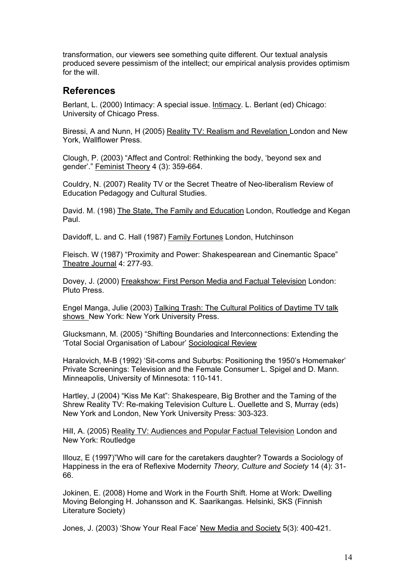transformation, our viewers see something quite different. Our textual analysis produced severe pessimism of the intellect; our empirical analysis provides optimism for the will.

#### **References**

Berlant, L. (2000) Intimacy: A special issue. Intimacy. L. Berlant (ed) Chicago: University of Chicago Press.

Biressi, A and Nunn, H (2005) Reality TV: Realism and Revelation London and New York, Wallflower Press.

Clough, P. (2003) "Affect and Control: Rethinking the body, 'beyond sex and gender'." Feminist Theory 4 (3): 359-664.

Couldry, N. (2007) Reality TV or the Secret Theatre of Neo-liberalism Review of Education Pedagogy and Cultural Studies.

David. M. (198) The State, The Family and Education London, Routledge and Kegan Paul.

Davidoff, L. and C. Hall (1987) Family Fortunes London, Hutchinson

Fleisch. W (1987) "Proximity and Power: Shakespearean and Cinemantic Space" Theatre Journal 4: 277-93.

Dovey, J. (2000) Freakshow: First Person Media and Factual Television London: Pluto Press.

Engel Manga, Julie (2003) Talking Trash: The Cultural Politics of Daytime TV talk shows New York: New York University Press.

Glucksmann, M. (2005) "Shifting Boundaries and Interconnections: Extending the 'Total Social Organisation of Labour' Sociological Review

Haralovich, M-B (1992) 'Sit-coms and Suburbs: Positioning the 1950's Homemaker' Private Screenings: Television and the Female Consumer L. Spigel and D. Mann. Minneapolis, University of Minnesota: 110-141.

Hartley, J (2004) "Kiss Me Kat": Shakespeare, Big Brother and the Taming of the Shrew Reality TV: Re-making Television Culture L. Ouellette and S, Murray (eds) New York and London, New York University Press: 303-323.

Hill, A. (2005) Reality TV: Audiences and Popular Factual Television London and New York: Routledge

Illouz, E (1997)"Who will care for the caretakers daughter? Towards a Sociology of Happiness in the era of Reflexive Modernity *Theory, Culture and Society* 14 (4): 31- 66.

Jokinen, E. (2008) Home and Work in the Fourth Shift. Home at Work: Dwelling Moving Belonging H. Johansson and K. Saarikangas. Helsinki, SKS (Finnish Literature Society)

Jones, J. (2003) 'Show Your Real Face' New Media and Society 5(3): 400-421.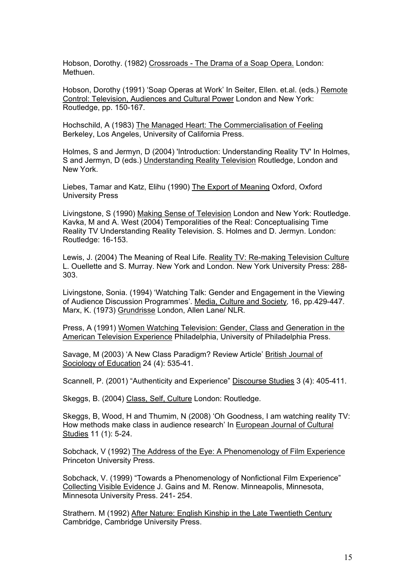Hobson, Dorothy. (1982) Crossroads - The Drama of a Soap Opera. London: Methuen.

Hobson, Dorothy (1991) 'Soap Operas at Work' In Seiter, Ellen. et.al. (eds.) Remote Control: Television, Audiences and Cultural Power London and New York: Routledge, pp. 150-167.

Hochschild, A (1983) The Managed Heart: The Commercialisation of Feeling Berkeley, Los Angeles, University of California Press.

Holmes, S and Jermyn, D (2004) 'Introduction: Understanding Reality TV' In Holmes, S and Jermyn, D (eds.) Understanding Reality Television Routledge, London and New York.

Liebes, Tamar and Katz, Elihu (1990) The Export of Meaning Oxford, Oxford University Press

Livingstone, S (1990) Making Sense of Television London and New York: Routledge. Kavka, M and A. West (2004) Temporalities of the Real: Conceptualising Time Reality TV Understanding Reality Television. S. Holmes and D. Jermyn. London: Routledge: 16-153.

Lewis, J. (2004) The Meaning of Real Life. Reality TV: Re-making Television Culture L. Ouellette and S. Murray. New York and London. New York University Press: 288- 303.

Livingstone, Sonia. (1994) 'Watching Talk: Gender and Engagement in the Viewing of Audience Discussion Programmes'. Media, Culture and Society*,* 16, pp.429-447. Marx, K. (1973) Grundrisse London, Allen Lane/ NLR.

Press, A (1991) Women Watching Television: Gender, Class and Generation in the American Television Experience Philadelphia, University of Philadelphia Press.

Savage, M (2003) 'A New Class Paradigm? Review Article' British Journal of Sociology of Education 24 (4): 535-41.

Scannell, P. (2001) "Authenticity and Experience" Discourse Studies 3 (4): 405-411.

Skeggs, B. (2004) Class, Self, Culture London: Routledge.

Skeggs, B, Wood, H and Thumim, N (2008) 'Oh Goodness, I am watching reality TV: How methods make class in audience research' In European Journal of Cultural Studies 11 (1): 5-24.

Sobchack, V (1992) The Address of the Eye: A Phenomenology of Film Experience Princeton University Press.

Sobchack, V. (1999) "Towards a Phenomenology of Nonfictional Film Experience" Collecting Visible Evidence J. Gains and M. Renow. Minneapolis, Minnesota, Minnesota University Press. 241- 254.

Strathern. M (1992) After Nature: English Kinship in the Late Twentieth Century Cambridge, Cambridge University Press.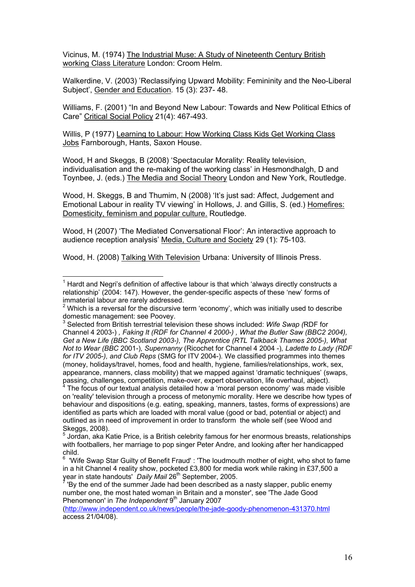Vicinus, M. (1974) The Industrial Muse: A Study of Nineteenth Century British working Class Literature London: Croom Helm.

Walkerdine, V. (2003) 'Reclassifying Upward Mobility: Femininity and the Neo-Liberal Subject', Gender and Education*.* 15 (3): 237- 48.

Williams, F. (2001) "In and Beyond New Labour: Towards and New Political Ethics of Care" Critical Social Policy 21(4): 467-493.

Willis, P (1977) Learning to Labour: How Working Class Kids Get Working Class Jobs Farnborough, Hants, Saxon House.

Wood, H and Skeggs, B (2008) 'Spectacular Morality: Reality television, individualisation and the re-making of the working class' in Hesmondhalgh, D and Toynbee, J. (eds.) The Media and Social Theory London and New York, Routledge.

Wood, H. Skeggs, B and Thumim, N (2008) 'It's just sad: Affect, Judgement and Emotional Labour in reality TV viewing' in Hollows, J. and Gillis, S. (ed.) Homefires: Domesticity, feminism and popular culture. Routledge.

Wood, H (2007) 'The Mediated Conversational Floor': An interactive approach to audience reception analysis' Media, Culture and Society 29 (1): 75-103.

Wood, H. (2008) Talking With Television Urbana: University of Illinois Press.

 $\overline{a}$ 

 $1$  Hardt and Negri's definition of affective labour is that which 'always directly constructs a relationship' (2004: 147). However, the gender-specific aspects of these 'new' forms of immaterial labour are rarely addressed.

 $2$  Which is a reversal for the discursive term 'economy', which was initially used to describe domestic management: see Poovey.

Selected from British terrestrial television these shows included: *Wife Swap (*RDF for Channel 4 2003-) *, Faking It (RDF for Channel 4 2000-) , What the Butler Saw (BBC2 2004), Get a New Life (BBC Scotland 2003-), The Apprentice (RTL Talkback Thames 2005-), What Not to Wear (BBC* 2001-)*, Supernanny* (Ricochet for Channel 4 2004 -)*, Ladette to Lady (RDF for ITV 2005-), and Club Reps* (SMG for ITV 2004-)*.* We classified programmes into themes (money, holidays/travel, homes, food and health, hygiene, families/relationships, work, sex, appearance, manners, class mobility) that we mapped against 'dramatic techniques' (swaps, passing, challenges, competition, make-over, expert observation, life overhaul, abject). 4

The focus of our textual analysis detailed how a 'moral person economy' was made visible on 'reality' television through a process of metonymic morality. Here we describe how types of behaviour and dispositions (e.g. eating, speaking, manners, tastes, forms of expressions) are identified as parts which are loaded with moral value (good or bad, potential or abject) and outlined as in need of improvement in order to transform the whole self (see Wood and Skeggs, 2008).

Jordan, aka Katie Price, is a British celebrity famous for her enormous breasts, relationships with footballers, her marriage to pop singer Peter Andre, and looking after her handicapped child.<br><sup>6</sup> พ.ศ.ศ

 <sup>&#</sup>x27;Wife Swap Star Guilty of Benefit Fraud' : 'The loudmouth mother of eight, who shot to fame in a hit Channel 4 reality show, pocketed £3,800 for media work while raking in £37,500 a year in state handouts' *Daily Mail* 26<sup>th</sup> September, 2005.<br><sup>7</sup> 'By the end of the summer Jade had been described as a nasty slapper, public enemy

number one, the most hated woman in Britain and a monster', see 'The Jade Good Phenomenon' in *The Independent* 9th January 2007

[<sup>\(</sup>http://www.independent.co.uk/news/people/the-jade-goody-phenomenon-431370.html](http://www.independent.co.uk/news/people/the-jade-goody-phenomenon-431370.html) access 21/04/08).